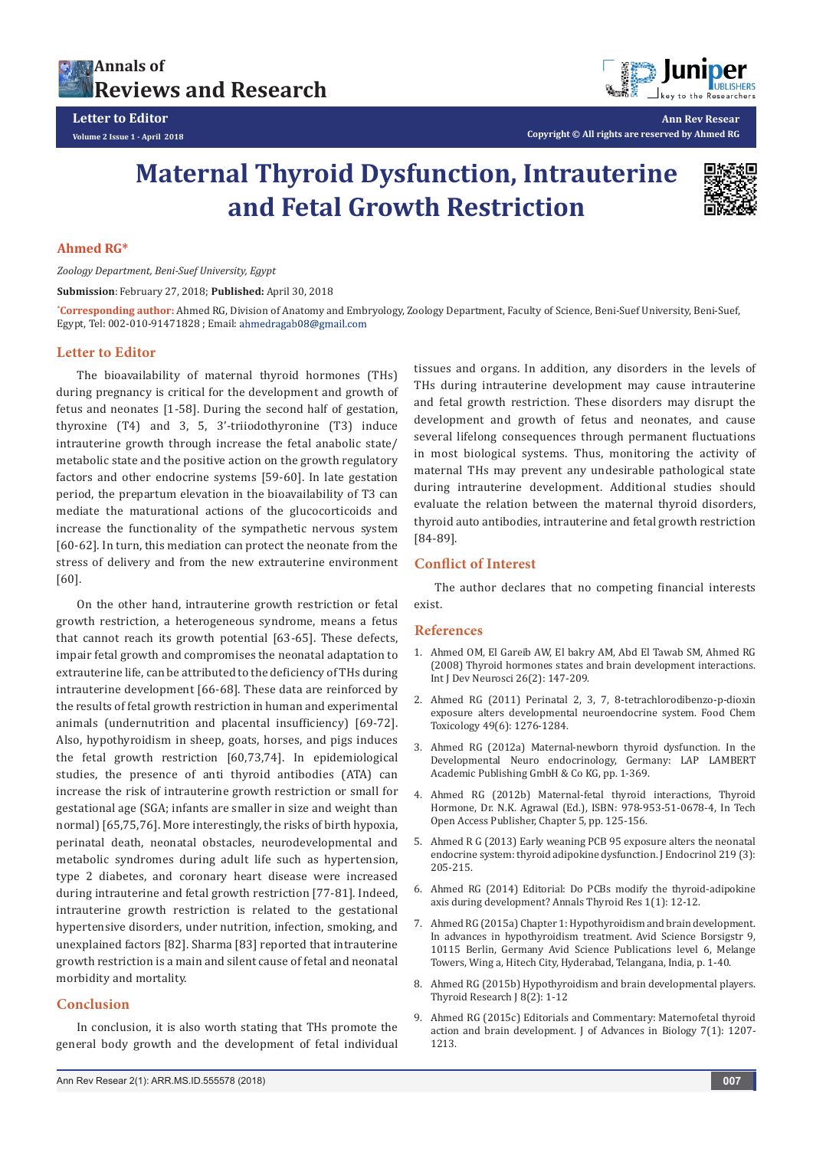



**Ann Rev Resear**

**Copyright © All rights are reserved by Ahmed RG**

# **Maternal Thyroid Dysfunction, Intrauterine and Fetal Growth Restriction**



## **Ahmed RG\***

*Zoology Department, Beni-Suef University, Egypt*

**Submission**: February 27, 2018; **Published:** April 30, 2018

**\* Corresponding author:** Ahmed RG, Division of Anatomy and Embryology, Zoology Department, Faculty of Science, Beni-Suef University, Beni-Suef, Egypt, Tel: 002-010-91471828 ; Email: ahmedragab08@gmail.com

#### **Letter to Editor**

The bioavailability of maternal thyroid hormones (THs) during pregnancy is critical for the development and growth of fetus and neonates [1-58]. During the second half of gestation, thyroxine (T4) and 3, 5, 3'-triiodothyronine (T3) induce intrauterine growth through increase the fetal anabolic state/ metabolic state and the positive action on the growth regulatory factors and other endocrine systems [59-60]. In late gestation period, the prepartum elevation in the bioavailability of T3 can mediate the maturational actions of the glucocorticoids and increase the functionality of the sympathetic nervous system [60-62]. In turn, this mediation can protect the neonate from the stress of delivery and from the new extrauterine environment [60].

On the other hand, intrauterine growth restriction or fetal growth restriction, a heterogeneous syndrome, means a fetus that cannot reach its growth potential [63-65]. These defects, impair fetal growth and compromises the neonatal adaptation to extrauterine life, can be attributed to the deficiency of THs during intrauterine development [66-68]. These data are reinforced by the results of fetal growth restriction in human and experimental animals (undernutrition and placental insufficiency) [69-72]. Also, hypothyroidism in sheep, goats, horses, and pigs induces the fetal growth restriction [60,73,74]. In epidemiological studies, the presence of anti thyroid antibodies (ATA) can increase the risk of intrauterine growth restriction or small for gestational age (SGA; infants are smaller in size and weight than normal) [65,75,76]. More interestingly, the risks of birth hypoxia, perinatal death, neonatal obstacles, neurodevelopmental and metabolic syndromes during adult life such as hypertension, type 2 diabetes, and coronary heart disease were increased during intrauterine and fetal growth restriction [77-81]. Indeed, intrauterine growth restriction is related to the gestational hypertensive disorders, under nutrition, infection, smoking, and unexplained factors [82]. Sharma [83] reported that intrauterine growth restriction is a main and silent cause of fetal and neonatal morbidity and mortality.

## **Conclusion**

In conclusion, it is also worth stating that THs promote the general body growth and the development of fetal individual THs during intrauterine development may cause intrauterine and fetal growth restriction. These disorders may disrupt the development and growth of fetus and neonates, and cause several lifelong consequences through permanent fluctuations in most biological systems. Thus, monitoring the activity of maternal THs may prevent any undesirable pathological state during intrauterine development. Additional studies should evaluate the relation between the maternal thyroid disorders, thyroid auto antibodies, intrauterine and fetal growth restriction [84-89].

tissues and organs. In addition, any disorders in the levels of

## **Conflict of Interest**

The author declares that no competing financial interests exist.

#### **References**

- 1. [Ahmed OM, El Gareib AW, El bakry AM, Abd El Tawab SM, Ahmed RG](https://www.ncbi.nlm.nih.gov/pubmed/18031969)  [\(2008\) Thyroid hormones states and brain development interactions.](https://www.ncbi.nlm.nih.gov/pubmed/18031969)  [Int J Dev Neurosci 26\(2\): 147-209.](https://www.ncbi.nlm.nih.gov/pubmed/18031969)
- 2. [Ahmed RG \(2011\) Perinatal 2, 3, 7, 8-tetrachlorodibenzo-p-dioxin](https://www.researchgate.net/publication/50419160_Perinatal_TCDD_exposure_alters_developmental_neuroendocrine_system)  [exposure alters developmental neuroendocrine system. Food Chem](https://www.researchgate.net/publication/50419160_Perinatal_TCDD_exposure_alters_developmental_neuroendocrine_system)  [Toxicology 49\(6\): 1276-1284.](https://www.researchgate.net/publication/50419160_Perinatal_TCDD_exposure_alters_developmental_neuroendocrine_system)
- 3. Ahmed RG (2012a) Maternal-newborn thyroid dysfunction. In the Developmental Neuro endocrinology, Germany: LAP LAMBERT Academic Publishing GmbH & Co KG, pp. 1-369.
- 4. Ahmed RG (2012b) Maternal-fetal thyroid interactions, Thyroid Hormone, Dr. N.K. Agrawal (Ed.), ISBN: 978-953-51-0678-4, In Tech Open Access Publisher, Chapter 5, pp. 125-156.
- 5. [Ahmed R G \(2013\) Early weaning PCB 95 exposure alters the neonatal](https://www.ncbi.nlm.nih.gov/pubmed/24167152)  [endocrine system: thyroid adipokine dysfunction. J Endocrinol 219 \(3\):](https://www.ncbi.nlm.nih.gov/pubmed/24167152)  [205-215.](https://www.ncbi.nlm.nih.gov/pubmed/24167152)
- 6. [Ahmed RG \(2014\) Editorial: Do PCBs modify the thyroid-adipokine](http://austinpublishinggroup.com/thyroid-research/fulltext/thyroids-v1-id1004.php)  [axis during development? Annals Thyroid Res 1\(1\): 12-12.](http://austinpublishinggroup.com/thyroid-research/fulltext/thyroids-v1-id1004.php)
- 7. Ahmed RG (2015a) Chapter 1: Hypothyroidism and brain development. In advances in hypothyroidism treatment. Avid Science Borsigstr 9, 10115 Berlin, Germany Avid Science Publications level 6, Melange Towers, Wing a, Hitech City, Hyderabad, Telangana, India, p. 1-40.
- 8. [Ahmed RG \(2015b\) Hypothyroidism and brain developmental players.](https://www.ncbi.nlm.nih.gov/pubmed/25878727)  [Thyroid Research J 8\(2\): 1-12](https://www.ncbi.nlm.nih.gov/pubmed/25878727)
- 9. Ahmed RG (2015c) Editorials and Commentary: Maternofetal thyroid action and brain development. J of Advances in Biology 7(1): 1207- 1213.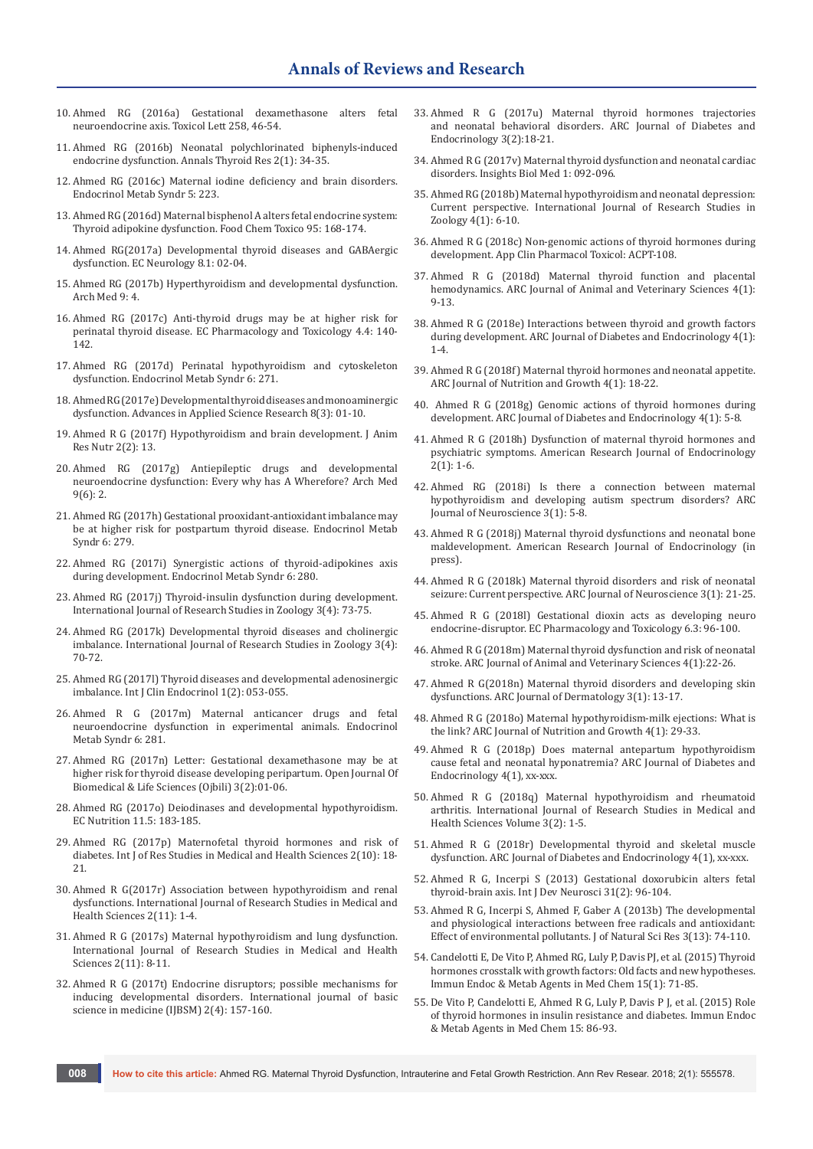- 10. [Ahmed RG \(2016a\) Gestational dexamethasone alters fetal](https://www.ncbi.nlm.nih.gov/pubmed/27220267)  [neuroendocrine axis. Toxicol Lett 258, 46-54.](https://www.ncbi.nlm.nih.gov/pubmed/27220267)
- 11. Ahmed RG (2016b) Neonatal polychlorinated biphenyls-induced endocrine dysfunction. Annals Thyroid Res 2(1): 34-35.
- 12. [Ahmed RG \(2016c\) Maternal iodine deficiency and brain disorders.](https://www.omicsonline.org/open-access/maternal-iodine-deficiency-and-brain-disorders-2161-1017-1000223.php?aid=69734)  [Endocrinol Metab Syndr 5: 223.](https://www.omicsonline.org/open-access/maternal-iodine-deficiency-and-brain-disorders-2161-1017-1000223.php?aid=69734)
- 13. [Ahmed RG \(2016d\) Maternal bisphenol A alters fetal endocrine system:](https://www.ncbi.nlm.nih.gov/pubmed/27326465)  [Thyroid adipokine dysfunction. Food Chem Toxico 95: 168-174.](https://www.ncbi.nlm.nih.gov/pubmed/27326465)
- 14. Ahmed RG(2017a) Developmental thyroid diseases and GABAergic dysfunction. EC Neurology 8.1: 02-04.
- 15. [Ahmed RG \(2017b\) Hyperthyroidism and developmental dysfunction.](http://www.archivesofmedicine.com/medicine/hyperthyroidism-and-developmental-dysfunction.pdf)  [Arch Med 9: 4.](http://www.archivesofmedicine.com/medicine/hyperthyroidism-and-developmental-dysfunction.pdf)
- 16. Ahmed RG (2017c) Anti-thyroid drugs may be at higher risk for perinatal thyroid disease. EC Pharmacology and Toxicology 4.4: 140- 142.
- 17. Ahmed RG (2017d) Perinatal hypothyroidism and cytoskeleton dysfunction. Endocrinol Metab Syndr 6: 271.
- 18. Ahmed RG (2017e) Developmental thyroid diseases and monoaminergic dysfunction. Advances in Applied Science Research 8(3): 01-10.
- 19. Ahmed R G (2017f) Hypothyroidism and brain development. J Anim Res Nutr 2(2): 13.
- 20. [Ahmed RG \(2017g\) Antiepileptic drugs and developmental](http://www.archivesofmedicine.com/medicine/antiepileptic-drugs-and-developmental-neuroendocrine-dysfunction-every-whyhas-a-wherefore.php?aid=21422)  [neuroendocrine dysfunction: Every why has A Wherefore? Arch Med](http://www.archivesofmedicine.com/medicine/antiepileptic-drugs-and-developmental-neuroendocrine-dysfunction-every-whyhas-a-wherefore.php?aid=21422)  [9\(6\): 2.](http://www.archivesofmedicine.com/medicine/antiepileptic-drugs-and-developmental-neuroendocrine-dysfunction-every-whyhas-a-wherefore.php?aid=21422)
- 21. Ahmed RG (2017h) Gestational prooxidant-antioxidant imbalance may be at higher risk for postpartum thyroid disease. Endocrinol Metab Syndr 6: 279.
- 22. [Ahmed RG \(2017i\) Synergistic actions of thyroid-adipokines axis](https://www.omicsonline.org/open-access/synergistic-actions-of-thyroidadipokines-axis-during-development-2161-1017-1000280.pdf)  [during development. Endocrinol Metab Syndr 6: 280.](https://www.omicsonline.org/open-access/synergistic-actions-of-thyroidadipokines-axis-during-development-2161-1017-1000280.pdf)
- 23. [Ahmed RG \(2017j\) Thyroid-insulin dysfunction during development.](https://www.arcjournals.org/pdfs/ijrsz/v3-i4/10.pdf)  [International Journal of Research Studies in Zoology 3\(4\): 73-75.](https://www.arcjournals.org/pdfs/ijrsz/v3-i4/10.pdf)
- 24. [Ahmed RG \(2017k\) Developmental thyroid diseases and cholinergic](https://www.arcjournals.org/pdfs/ijrsz/v3-i4/9.pdf)  [imbalance. International Journal of Research Studies in Zoology 3\(4\):](https://www.arcjournals.org/pdfs/ijrsz/v3-i4/9.pdf)  [70-72.](https://www.arcjournals.org/pdfs/ijrsz/v3-i4/9.pdf)
- 25. [Ahmed RG \(2017l\) Thyroid diseases and developmental adenosinergic](http://www.scireslit.com/Endocrinology/IJCE-ID19.pdf)  [imbalance. Int J Clin Endocrinol 1\(2\): 053-055.](http://www.scireslit.com/Endocrinology/IJCE-ID19.pdf)
- 26. [Ahmed R G \(2017m\) Maternal anticancer drugs and fetal](https://www.omicsonline.org/open-access/maternal-anticancer-drugs-and-fetal-neuroendocrine-dysfunction-inexperimental-animals-2161-1017-1000281.pdf)  [neuroendocrine dysfunction in experimental animals. Endocrinol](https://www.omicsonline.org/open-access/maternal-anticancer-drugs-and-fetal-neuroendocrine-dysfunction-inexperimental-animals-2161-1017-1000281.pdf)  [Metab Syndr 6: 281.](https://www.omicsonline.org/open-access/maternal-anticancer-drugs-and-fetal-neuroendocrine-dysfunction-inexperimental-animals-2161-1017-1000281.pdf)
- 27. [Ahmed RG \(2017n\) Letter: Gestational dexamethasone may be at](https://www.researchgate.net/publication/321301464_LETTER_GESTATIONAL_DEXAMETHASONE_MAY_BE_AT_HIGHER_RISK_FOR_THYROID_DISEASE_DEVELOPING_PERIPARTUM)  [higher risk for thyroid disease developing peripartum. Open Journal Of](https://www.researchgate.net/publication/321301464_LETTER_GESTATIONAL_DEXAMETHASONE_MAY_BE_AT_HIGHER_RISK_FOR_THYROID_DISEASE_DEVELOPING_PERIPARTUM)  [Biomedical & Life Sciences \(Ojbili\) 3\(2\):01-06.](https://www.researchgate.net/publication/321301464_LETTER_GESTATIONAL_DEXAMETHASONE_MAY_BE_AT_HIGHER_RISK_FOR_THYROID_DISEASE_DEVELOPING_PERIPARTUM)
- 28. Ahmed RG (2017o) Deiodinases and developmental hypothyroidism. EC Nutrition 11.5: 183-185.
- 29. [Ahmed RG \(2017p\) Maternofetal thyroid hormones and risk of](http://www.ijrsmhs.com/pdf/v2-i10/4.pdf)  [diabetes. Int J of Res Studies in Medical and Health Sciences 2\(10\): 18-](http://www.ijrsmhs.com/pdf/v2-i10/4.pdf) [21.](http://www.ijrsmhs.com/pdf/v2-i10/4.pdf)
- 30. [Ahmed R G\(2017r\) Association between hypothyroidism and renal](http://www.ijrsmhs.com/pdf/v2-i11/1.pdf)  [dysfunctions. International Journal of Research Studies in Medical and](http://www.ijrsmhs.com/pdf/v2-i11/1.pdf)  [Health Sciences 2\(11\): 1-4.](http://www.ijrsmhs.com/pdf/v2-i11/1.pdf)
- 31. Ahmed R G (2017s) Maternal hypothyroidism and lung dysfunction. International Journal of Research Studies in Medical and Health Sciences 2(11): 8-11.
- 32. [Ahmed R G \(2017t\) Endocrine disruptors; possible mechanisms for](http://ijbsm.zbmu.ac.ir/PDF/ijbsm-2-157.pdf?t=636602538077431118)  [inducing developmental disorders. International journal of basic](http://ijbsm.zbmu.ac.ir/PDF/ijbsm-2-157.pdf?t=636602538077431118)  [science in medicine \(IJBSM\) 2\(4\): 157-160.](http://ijbsm.zbmu.ac.ir/PDF/ijbsm-2-157.pdf?t=636602538077431118)
- 33. Ahmed R G (2017u) Maternal thyroid hormones trajectories and neonatal behavioral disorders. ARC Journal of Diabetes and Endocrinology 3(2):18-21.
- 34. [Ahmed R G \(2017v\) Maternal thyroid dysfunction and neonatal cardiac](https://www.heighpubs.org/hjbm/pdf/ibm-aid1008.pdf)  [disorders. Insights Biol Med 1: 092-096.](https://www.heighpubs.org/hjbm/pdf/ibm-aid1008.pdf)
- 35. [Ahmed RG \(2018b\) Maternal hypothyroidism and neonatal depression:](http://www.ijrsmhs.com/pdf/v3-i1/2.pdf)  [Current perspective. International Journal of Research Studies in](http://www.ijrsmhs.com/pdf/v3-i1/2.pdf)  [Zoology 4\(1\): 6-10.](http://www.ijrsmhs.com/pdf/v3-i1/2.pdf)
- 36. Ahmed R G (2018c) Non-genomic actions of thyroid hormones during development. App Clin Pharmacol Toxicol: ACPT-108.
- 37. Ahmed R G (2018d) Maternal thyroid function and placental hemodynamics. ARC Journal of Animal and Veterinary Sciences 4(1): 9-13.
- 38. Ahmed R G (2018e) Interactions between thyroid and growth factors during development. ARC Journal of Diabetes and Endocrinology 4(1): 1-4.
- 39. [Ahmed R G \(2018f\) Maternal thyroid hormones and neonatal appetite.](https://www.arcjournals.org/pdfs/ajng/v4-i1/5.pdf)  [ARC Journal of Nutrition and Growth 4\(1\): 18-22.](https://www.arcjournals.org/pdfs/ajng/v4-i1/5.pdf)
- 40. Ahmed R G (2018g) Genomic actions of thyroid hormones during development. ARC Journal of Diabetes and Endocrinology 4(1): 5-8.
- 41. Ahmed R G (2018h) Dysfunction of maternal thyroid hormones and psychiatric symptoms. American Research Journal of Endocrinology 2(1): 1-6.
- 42. [Ahmed RG \(2018i\) Is there a connection between maternal](https://www.arcjournals.org/pdfs/ajns/v3-i1/2.pdf)  [hypothyroidism and developing autism spectrum disorders? ARC](https://www.arcjournals.org/pdfs/ajns/v3-i1/2.pdf)  [Journal of Neuroscience 3\(1\): 5-8.](https://www.arcjournals.org/pdfs/ajns/v3-i1/2.pdf)
- 43. Ahmed R G (2018j) Maternal thyroid dysfunctions and neonatal bone maldevelopment. American Research Journal of Endocrinology (in press).
- 44. [Ahmed R G \(2018k\) Maternal thyroid disorders and risk of neonatal](https://www.arcjournals.org/pdfs/ajns/v3-i1/4.pdf)  [seizure: Current perspective. ARC Journal of Neuroscience 3\(1\): 21-25.](https://www.arcjournals.org/pdfs/ajns/v3-i1/4.pdf)
- 45. Ahmed R G (2018l) Gestational dioxin acts as developing neuro endocrine-disruptor. EC Pharmacology and Toxicology 6.3: 96-100.
- 46. [Ahmed R G \(2018m\) Maternal thyroid dysfunction and risk of neonatal](https://www.arcjournals.org/pdfs/ajavs/v4-i1/4.pdf)  [stroke. ARC Journal of Animal and Veterinary Sciences 4\(1\):22-26.](https://www.arcjournals.org/pdfs/ajavs/v4-i1/4.pdf)
- 47. [Ahmed R G\(2018n\) Maternal thyroid disorders and developing skin](https://www.arcjournals.org/pdfs/ajd/v3-i1/5.pdf)  [dysfunctions. ARC Journal of Dermatology 3\(1\): 13-17.](https://www.arcjournals.org/pdfs/ajd/v3-i1/5.pdf)
- 48. [Ahmed R G \(2018o\) Maternal hypothyroidism-milk ejections: What is](https://www.arcjournals.org/pdfs/ajng/v4-i1/7.pdf)  [the link? ARC Journal of Nutrition and Growth 4\(1\): 29-33.](https://www.arcjournals.org/pdfs/ajng/v4-i1/7.pdf)
- 49. Ahmed R G (2018p) Does maternal antepartum hypothyroidism cause fetal and neonatal hyponatremia? ARC Journal of Diabetes and Endocrinology 4(1), xx-xxx.
- 50. [Ahmed R G \(2018q\) Maternal hypothyroidism and rheumatoid](http://www.ijrsmhs.com/pdf/v3-i2/1.pdf)  [arthritis. International Journal of Research Studies in Medical and](http://www.ijrsmhs.com/pdf/v3-i2/1.pdf)  [Health Sciences Volume 3\(2\): 1-5.](http://www.ijrsmhs.com/pdf/v3-i2/1.pdf)
- 51. Ahmed R G (2018r) Developmental thyroid and skeletal muscle dysfunction. ARC Journal of Diabetes and Endocrinology 4(1), xx-xxx.
- 52. [Ahmed R G, Incerpi S \(2013\) Gestational doxorubicin alters fetal](https://www.ncbi.nlm.nih.gov/pubmed/23183240)  [thyroid-brain axis. Int J Dev Neurosci 31\(2\): 96-104.](https://www.ncbi.nlm.nih.gov/pubmed/23183240)
- 53. [Ahmed R G, Incerpi S, Ahmed F, Gaber A \(2013b\) The developmental](http://iiste.org/Journals/index.php/JNSR/article/view/9071)  [and physiological interactions between free radicals and antioxidant:](http://iiste.org/Journals/index.php/JNSR/article/view/9071)  [Effect of environmental pollutants. J of Natural Sci Res 3\(13\): 74-110.](http://iiste.org/Journals/index.php/JNSR/article/view/9071)
- 54. [Candelotti E, De Vito P, Ahmed RG, Luly P, Davis PJ, et al. \(2015\) Thyroid](https://tmu.pure.elsevier.com/en/publications/thyroid-hormones-crosstalk-with-growth-factors-old-facts-and-new-)  [hormones crosstalk with growth factors: Old facts and new hypotheses.](https://tmu.pure.elsevier.com/en/publications/thyroid-hormones-crosstalk-with-growth-factors-old-facts-and-new-)  [Immun Endoc & Metab Agents in Med Chem 15\(1\): 71-85.](https://tmu.pure.elsevier.com/en/publications/thyroid-hormones-crosstalk-with-growth-factors-old-facts-and-new-)
- 55. [De Vito P, Candelotti E, Ahmed R G, Luly P, Davis P J, et al. \(2015\) Role](http://www.eurekaselect.com/node/133023/article)  [of thyroid hormones in insulin resistance and diabetes. Immun Endoc](http://www.eurekaselect.com/node/133023/article)  [& Metab Agents in Med Chem 15: 86-93.](http://www.eurekaselect.com/node/133023/article)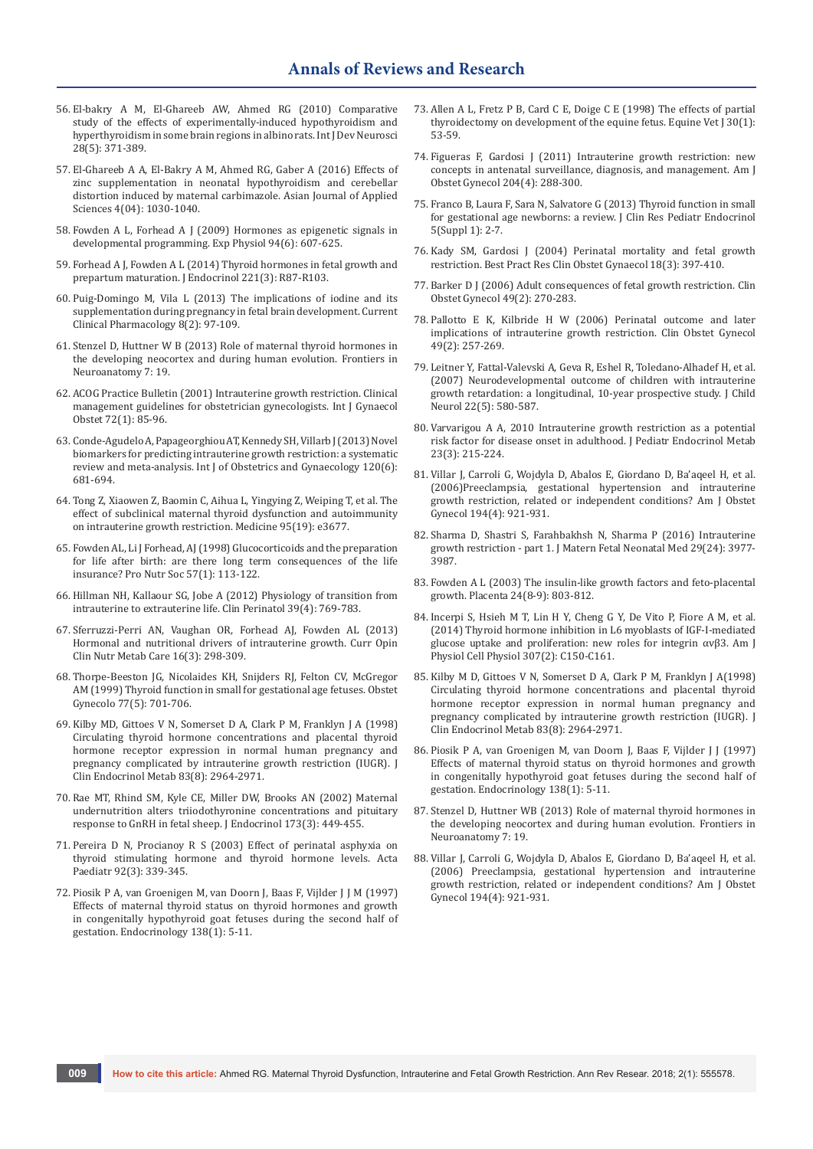- 56. [El-bakry A M, El-Ghareeb AW, Ahmed RG \(2010\) Comparative](https://www.ncbi.nlm.nih.gov/pubmed/20412848)  [study of the effects of experimentally-induced hypothyroidism and](https://www.ncbi.nlm.nih.gov/pubmed/20412848)  [hyperthyroidism in some brain regions in albino rats. Int J Dev Neurosci](https://www.ncbi.nlm.nih.gov/pubmed/20412848)  [28\(5\): 371-389.](https://www.ncbi.nlm.nih.gov/pubmed/20412848)
- 57. [El-Ghareeb A A, El-Bakry A M, Ahmed RG, Gaber A \(2016\) Effects of](https://www.ajouronline.com/index.php/AJAS/article/view/4096/2214)  [zinc supplementation in neonatal hypothyroidism and cerebellar](https://www.ajouronline.com/index.php/AJAS/article/view/4096/2214)  [distortion induced by maternal carbimazole. Asian Journal of Applied](https://www.ajouronline.com/index.php/AJAS/article/view/4096/2214)  [Sciences 4\(04\): 1030-1040.](https://www.ajouronline.com/index.php/AJAS/article/view/4096/2214)
- 58. [Fowden A L, Forhead A J \(2009\) Hormones as epigenetic signals in](https://www.ncbi.nlm.nih.gov/pubmed/19251980)  [developmental programming. Exp Physiol 94\(6\): 607-625.](https://www.ncbi.nlm.nih.gov/pubmed/19251980)
- 59. [Forhead A J, Fowden A L \(2014\) Thyroid hormones in fetal growth and](https://www.ncbi.nlm.nih.gov/pubmed/24648121)  [prepartum maturation. J Endocrinol 221\(3\): R87-R103](https://www.ncbi.nlm.nih.gov/pubmed/24648121).
- 60. [Puig-Domingo M, Vila L \(2013\) The implications of iodine and its](http://www.ingentaconnect.com/content/ben/ccp/2013/00000008/00000002/art00002?crawler=true)  [supplementation during pregnancy in fetal brain development. Current](http://www.ingentaconnect.com/content/ben/ccp/2013/00000008/00000002/art00002?crawler=true)  [Clinical Pharmacology 8\(2\): 97-109.](http://www.ingentaconnect.com/content/ben/ccp/2013/00000008/00000002/art00002?crawler=true)
- 61. [Stenzel D, Huttner W B \(2013\) Role of maternal thyroid hormones in](https://www.ncbi.nlm.nih.gov/pubmed/23882187)  [the developing neocortex and during human evolution. Frontiers in](https://www.ncbi.nlm.nih.gov/pubmed/23882187)  [Neuroanatomy 7: 19.](https://www.ncbi.nlm.nih.gov/pubmed/23882187)
- 62. [ACOG Practice Bulletin \(2001\) Intrauterine growth restriction. Clinical](https://www.ncbi.nlm.nih.gov/pubmed/11203689)  [management guidelines for obstetrician gynecologists. Int J Gynaecol](https://www.ncbi.nlm.nih.gov/pubmed/11203689)  [Obstet 72\(1\): 85-96.](https://www.ncbi.nlm.nih.gov/pubmed/11203689)
- 63. [Conde-Agudelo A, Papageorghiou AT, Kennedy SH, Villarb J \(2013\) Novel](https://www.ncbi.nlm.nih.gov/pubmed/23398929)  [biomarkers for predicting intrauterine growth restriction: a systematic](https://www.ncbi.nlm.nih.gov/pubmed/23398929)  [review and meta-analysis. Int J of Obstetrics and Gynaecology 120\(6\):](https://www.ncbi.nlm.nih.gov/pubmed/23398929)  [681-694.](https://www.ncbi.nlm.nih.gov/pubmed/23398929)
- 64. [Tong Z, Xiaowen Z, Baomin C, Aihua L, Yingying Z, Weiping T, et al. The](https://www.ncbi.nlm.nih.gov/pubmed/27175703)  [effect of subclinical maternal thyroid dysfunction and autoimmunity](https://www.ncbi.nlm.nih.gov/pubmed/27175703)  [on intrauterine growth restriction. Medicine 95\(19\): e3677.](https://www.ncbi.nlm.nih.gov/pubmed/27175703)
- 65. [Fowden AL, Li J Forhead, AJ \(1998\) Glucocorticoids and the preparation](https://www.ncbi.nlm.nih.gov/pubmed/9571716)  [for life after birth: are there long term consequences of the life](https://www.ncbi.nlm.nih.gov/pubmed/9571716)  [insurance? Pro Nutr Soc 57\(1\): 113-122.](https://www.ncbi.nlm.nih.gov/pubmed/9571716)
- 66. [Hillman NH, Kallaour SG, Jobe A \(2012\) Physiology of transition from](https://www.ncbi.nlm.nih.gov/pmc/articles/PMC3504352/)  [intrauterine to extrauterine life. Clin Perinatol 39\(4\): 769-783.](https://www.ncbi.nlm.nih.gov/pmc/articles/PMC3504352/)
- 67. [Sferruzzi-Perri AN, Vaughan OR, Forhead AJ, Fowden AL \(2013\)](https://www.ncbi.nlm.nih.gov/pubmed/23340010)  [Hormonal and nutritional drivers of intrauterine growth. Curr Opin](https://www.ncbi.nlm.nih.gov/pubmed/23340010)  [Clin Nutr Metab Care 16\(3\): 298-309.](https://www.ncbi.nlm.nih.gov/pubmed/23340010)
- 68. [Thorpe-Beeston JG, Nicolaides KH, Snijders RJ, Felton CV, McGregor](https://www.ncbi.nlm.nih.gov/pubmed/1901637)  [AM \(1999\) Thyroid function in small for gestational age fetuses. Obstet](https://www.ncbi.nlm.nih.gov/pubmed/1901637)  [Gynecolo 77\(5\): 701-706.](https://www.ncbi.nlm.nih.gov/pubmed/1901637)
- 69. [Kilby MD, Gittoes V N, Somerset D A, Clark P M, Franklyn J A \(1998\)](https://www.ncbi.nlm.nih.gov/pubmed/9709977)  [Circulating thyroid hormone concentrations and placental thyroid](https://www.ncbi.nlm.nih.gov/pubmed/9709977)  [hormone receptor expression in normal human pregnancy and](https://www.ncbi.nlm.nih.gov/pubmed/9709977)  [pregnancy complicated by intrauterine growth restriction \(IUGR\). J](https://www.ncbi.nlm.nih.gov/pubmed/9709977)  [Clin Endocrinol Metab 83\(8\): 2964-2971.](https://www.ncbi.nlm.nih.gov/pubmed/9709977)
- 70. [Rae MT, Rhind SM, Kyle CE, Miller DW, Brooks AN \(2002\) Maternal](https://www.ncbi.nlm.nih.gov/pubmed/12065234)  [undernutrition alters triiodothyronine concentrations and pituitary](https://www.ncbi.nlm.nih.gov/pubmed/12065234)  [response to GnRH in fetal sheep. J Endocrinol 173\(3\): 449-455.](https://www.ncbi.nlm.nih.gov/pubmed/12065234)
- 71. [Pereira D N, Procianoy R S \(2003\) Effect of perinatal asphyxia on](https://www.ncbi.nlm.nih.gov/pubmed/12725550)  [thyroid stimulating hormone and thyroid hormone levels. Acta](https://www.ncbi.nlm.nih.gov/pubmed/12725550)  [Paediatr 92\(3\): 339-345.](https://www.ncbi.nlm.nih.gov/pubmed/12725550)
- 72. Piosik P A, van Groenigen M, van Doorn J, Baas F, Vijlder J J M (1997) Effects of maternal thyroid status on thyroid hormones and growth in congenitally hypothyroid goat fetuses during the second half of gestation. Endocrinology 138(1): 5-11.
- 73. [Allen A L, Fretz P B, Card C E, Doige C E \(1998\) The effects of partial](https://www.ncbi.nlm.nih.gov/pubmed/9458399)  [thyroidectomy on development of the equine fetus. Equine Vet J 30\(1\):](https://www.ncbi.nlm.nih.gov/pubmed/9458399)  [53-59.](https://www.ncbi.nlm.nih.gov/pubmed/9458399)
- 74. [Figueras F, Gardosi J \(2011\) Intrauterine growth restriction: new](https://www.ncbi.nlm.nih.gov/pubmed/21215383)  [concepts in antenatal surveillance, diagnosis, and management. Am J](https://www.ncbi.nlm.nih.gov/pubmed/21215383)  [Obstet Gynecol 204\(4\): 288-300.](https://www.ncbi.nlm.nih.gov/pubmed/21215383)
- 75. [Franco B, Laura F, Sara N, Salvatore G \(2013\) Thyroid function in small](https://www.ncbi.nlm.nih.gov/pmc/articles/PMC3608011/)  [for gestational age newborns: a review. J Clin Res Pediatr Endocrinol](https://www.ncbi.nlm.nih.gov/pmc/articles/PMC3608011/)  [5\(Suppl 1\): 2-7.](https://www.ncbi.nlm.nih.gov/pmc/articles/PMC3608011/)
- 76. [Kady SM, Gardosi J \(2004\) Perinatal mortality and fetal growth](https://www.ncbi.nlm.nih.gov/pubmed/15183135)  [restriction. Best Pract Res Clin Obstet Gynaecol 18\(3\): 397-410.](https://www.ncbi.nlm.nih.gov/pubmed/15183135)
- 77. [Barker D J \(2006\) Adult consequences of fetal growth restriction. Clin](https://www.ncbi.nlm.nih.gov/pubmed/16721106)  [Obstet Gynecol 49\(2\): 270-283.](https://www.ncbi.nlm.nih.gov/pubmed/16721106)
- 78. [Pallotto E K, Kilbride H W \(2006\) Perinatal outcome and later](https://www.ncbi.nlm.nih.gov/pubmed/16721105)  [implications of intrauterine growth restriction. Clin Obstet Gynecol](https://www.ncbi.nlm.nih.gov/pubmed/16721105)  [49\(2\): 257-269.](https://www.ncbi.nlm.nih.gov/pubmed/16721105)
- 79. [Leitner Y, Fattal-Valevski A, Geva R, Eshel R, Toledano-Alhadef H, et al.](https://www.ncbi.nlm.nih.gov/pubmed/17690065)  [\(2007\) Neurodevelopmental outcome of children with intrauterine](https://www.ncbi.nlm.nih.gov/pubmed/17690065)  [growth retardation: a longitudinal, 10-year prospective study. J Child](https://www.ncbi.nlm.nih.gov/pubmed/17690065)  [Neurol 22\(5\): 580-587.](https://www.ncbi.nlm.nih.gov/pubmed/17690065)
- 80. [Varvarigou A A, 2010 Intrauterine growth restriction as a potential](https://www.ncbi.nlm.nih.gov/pubmed/20480719)  [risk factor for disease onset in adulthood. J Pediatr Endocrinol Metab](https://www.ncbi.nlm.nih.gov/pubmed/20480719)  [23\(3\): 215-224.](https://www.ncbi.nlm.nih.gov/pubmed/20480719)
- 81. [Villar J, Carroli G, Wojdyla D, Abalos E, Giordano D, Ba'aqeel H, et al.](https://www.ncbi.nlm.nih.gov/pubmed/16580277)  [\(2006\)Preeclampsia, gestational hypertension and intrauterine](https://www.ncbi.nlm.nih.gov/pubmed/16580277)  [growth restriction, related or independent conditions? Am J Obstet](https://www.ncbi.nlm.nih.gov/pubmed/16580277)  [Gynecol 194\(4\): 921-931.](https://www.ncbi.nlm.nih.gov/pubmed/16580277)
- 82. [Sharma D, Shastri S, Farahbakhsh N, Sharma P \(2016\) Intrauterine](https://www.ncbi.nlm.nih.gov/pubmed/26856409)  [growth restriction - part 1. J Matern Fetal Neonatal Med 29\(24\): 3977-](https://www.ncbi.nlm.nih.gov/pubmed/26856409) [3987.](https://www.ncbi.nlm.nih.gov/pubmed/26856409)
- 83. [Fowden A L \(2003\) The insulin-like growth factors and feto-placental](https://www.ncbi.nlm.nih.gov/pubmed/13129676)  [growth. Placenta 24\(8-9\): 803-812.](https://www.ncbi.nlm.nih.gov/pubmed/13129676)
- 84. [Incerpi S, Hsieh M T, Lin H Y, Cheng G Y, De Vito P, Fiore A M, et al.](https://www.ncbi.nlm.nih.gov/pubmed/24808494)  [\(2014\) Thyroid hormone inhibition in L6 myoblasts of IGF-I-mediated](https://www.ncbi.nlm.nih.gov/pubmed/24808494)  [glucose uptake and proliferation: new roles for integrin αvβ3. Am J](https://www.ncbi.nlm.nih.gov/pubmed/24808494)  [Physiol Cell Physiol 307\(2\): C150-C161.](https://www.ncbi.nlm.nih.gov/pubmed/24808494)
- 85. [Kilby M D, Gittoes V N, Somerset D A, Clark P M, Franklyn J A\(1998\)](https://www.ncbi.nlm.nih.gov/pubmed/9709977)  [Circulating thyroid hormone concentrations and placental thyroid](https://www.ncbi.nlm.nih.gov/pubmed/9709977)  [hormone receptor expression in normal human pregnancy and](https://www.ncbi.nlm.nih.gov/pubmed/9709977)  [pregnancy complicated by intrauterine growth restriction \(IUGR\). J](https://www.ncbi.nlm.nih.gov/pubmed/9709977)  [Clin Endocrinol Metab 83\(8\): 2964-2971.](https://www.ncbi.nlm.nih.gov/pubmed/9709977)
- 86. [Piosik P A, van Groenigen M, van Doorn J, Baas F, Vijlder J J \(1997\)](https://www.ncbi.nlm.nih.gov/pubmed/8977378)  [Effects of maternal thyroid status on thyroid hormones and growth](https://www.ncbi.nlm.nih.gov/pubmed/8977378)  [in congenitally hypothyroid goat fetuses during the second half of](https://www.ncbi.nlm.nih.gov/pubmed/8977378)  [gestation. Endocrinology 138\(1\): 5-11.](https://www.ncbi.nlm.nih.gov/pubmed/8977378)
- 87. [Stenzel D, Huttner WB \(2013\) Role of maternal thyroid hormones in](https://www.ncbi.nlm.nih.gov/pubmed/23882187)  [the developing neocortex and during human evolution. Frontiers in](https://www.ncbi.nlm.nih.gov/pubmed/23882187)  [Neuroanatomy 7: 19.](https://www.ncbi.nlm.nih.gov/pubmed/23882187)
- 88. [Villar J, Carroli G, Wojdyla D, Abalos E, Giordano D, Ba'aqeel H, et al.](https://www.ncbi.nlm.nih.gov/pubmed/16580277)  [\(2006\) Preeclampsia, gestational hypertension and intrauterine](https://www.ncbi.nlm.nih.gov/pubmed/16580277)  [growth restriction, related or independent conditions? Am J Obstet](https://www.ncbi.nlm.nih.gov/pubmed/16580277)  [Gynecol 194\(4\): 921-931.](https://www.ncbi.nlm.nih.gov/pubmed/16580277)